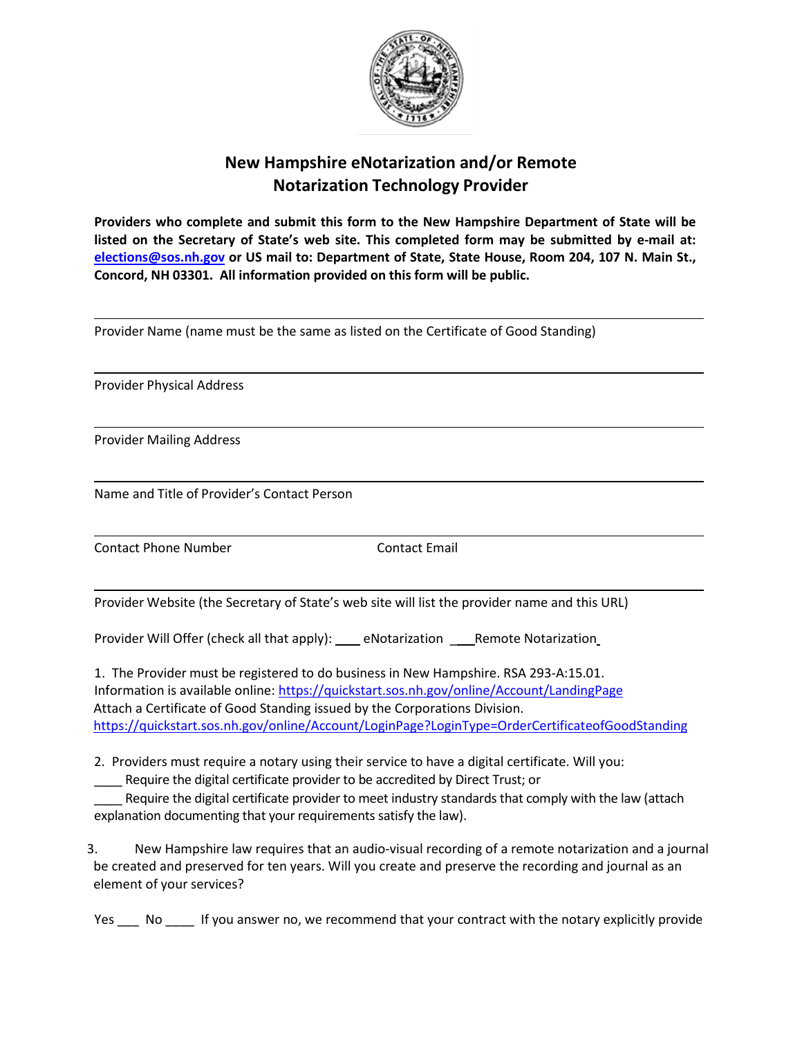

## **New Hampshire eNotarization and/or Remote Notarization Technology Provider**

**Providers who complete and submit this form to the New Hampshire Department of State will be listed on the Secretary of State's web site. This completed form may be submitted by e-mail at: [elections@sos.nh.gov](mailto:Debra.Marston@SOS.NH.GOV) or US mail to: Department of State, State House, Room 204, 107 N. Main St., Concord, NH 03301. All information provided on this form will be public.** 

Provider Name (name must be the same as listed on the Certificate of Good Standing)

Provider Physical Address

Provider Mailing Address

Name and Title of Provider's Contact Person

Contact Phone Number Contact Email

Provider Website (the Secretary of State's web site will list the provider name and this URL)

Provider Will Offer (check all that apply): \_\_\_\_ eNotarization \_\_\_\_\_Remote Notarization

1. The Provider must be registered to do business in New Hampshire. RSA 293-A:15.01. Information is available online[: https://quickstart.sos.nh.gov/online/Account/LandingPage](https://quickstart.sos.nh.gov/online/Account/LandingPage) Attach a Certificate of Good Standing issued by the Corporations Division. <https://quickstart.sos.nh.gov/online/Account/LoginPage?LoginType=OrderCertificateofGoodStanding>

2. Providers must require a notary using their service to have a digital certificate. Will you:

\_\_\_\_ Require the digital certificate provider to be accredited by Direct Trust; or

Require the digital certificate provider to meet industry standards that comply with the law (attach explanation documenting that your requirements satisfy the law).

3. New Hampshire law requires that an audio-visual recording of a remote notarization and a journal be created and preserved for ten years. Will you create and preserve the recording and journal as an element of your services?

Yes \_\_\_ No \_\_\_\_ If you answer no, we recommend that your contract with the notary explicitly provide